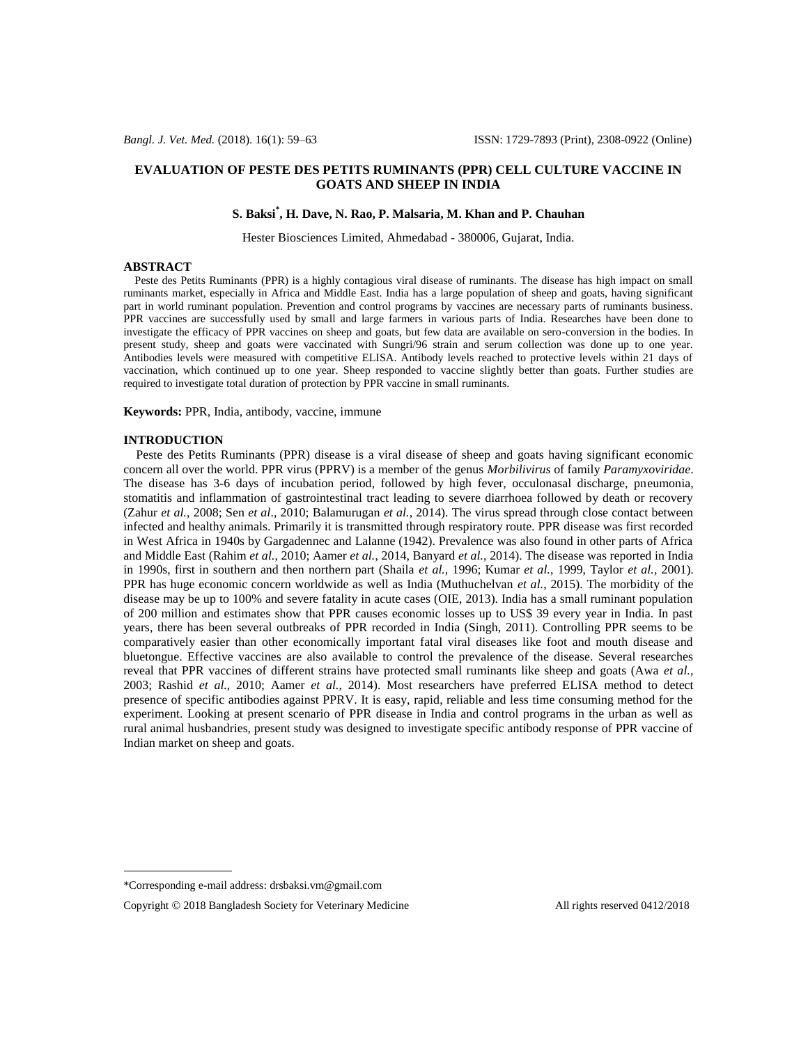### **EVALUATION OF PESTE DES PETITS RUMINANTS (PPR) CELL CULTURE VACCINE IN GOATS AND SHEEP IN INDIA**

# **S. Baksi\* , H. Dave, N. Rao, P. Malsaria, M. Khan and P. Chauhan**

Hester Biosciences Limited, Ahmedabad - 380006, Gujarat, India.

#### **ABSTRACT**

 Peste des Petits Ruminants (PPR) is a highly contagious viral disease of ruminants. The disease has high impact on small ruminants market, especially in Africa and Middle East. India has a large population of sheep and goats, having significant part in world ruminant population. Prevention and control programs by vaccines are necessary parts of ruminants business. PPR vaccines are successfully used by small and large farmers in various parts of India. Researches have been done to investigate the efficacy of PPR vaccines on sheep and goats, but few data are available on sero-conversion in the bodies. In present study, sheep and goats were vaccinated with Sungri/96 strain and serum collection was done up to one year. Antibodies levels were measured with competitive ELISA. Antibody levels reached to protective levels within 21 days of vaccination, which continued up to one year. Sheep responded to vaccine slightly better than goats. Further studies are required to investigate total duration of protection by PPR vaccine in small ruminants.

**Keywords:** PPR, India, antibody, vaccine, immune

#### **INTRODUCTION**

 Peste des Petits Ruminants (PPR) disease is a viral disease of sheep and goats having significant economic concern all over the world. PPR virus (PPRV) is a member of the genus *Morbilivirus* of family *Paramyxoviridae*. The disease has 3-6 days of incubation period, followed by high fever, occulonasal discharge, pneumonia, stomatitis and inflammation of gastrointestinal tract leading to severe diarrhoea followed by death or recovery (Zahur *et al.*, 2008; Sen *et al*., 2010; Balamurugan *et al.*, 2014). The virus spread through close contact between infected and healthy animals. Primarily it is transmitted through respiratory route. PPR disease was first recorded in West Africa in 1940s by Gargadennec and Lalanne (1942). Prevalence was also found in other parts of Africa and Middle East (Rahim *et al.*, 2010; Aamer *et al.*, 2014, Banyard *et al.*, 2014). The disease was reported in India in 1990s, first in southern and then northern part (Shaila *et al.*, 1996; Kumar *et al.*, 1999, Taylor *et al.*, 2001). PPR has huge economic concern worldwide as well as India (Muthuchelvan *et al.*, 2015). The morbidity of the disease may be up to 100% and severe fatality in acute cases (OIE, 2013). India has a small ruminant population of 200 million and estimates show that PPR causes economic losses up to US\$ 39 every year in India. In past years, there has been several outbreaks of PPR recorded in India (Singh, 2011). Controlling PPR seems to be comparatively easier than other economically important fatal viral diseases like foot and mouth disease and bluetongue. Effective vaccines are also available to control the prevalence of the disease. Several researches reveal that PPR vaccines of different strains have protected small ruminants like sheep and goats (Awa *et al.*, 2003; Rashid *et al.*, 2010; Aamer *et al.*, 2014). Most researchers have preferred ELISA method to detect presence of specific antibodies against PPRV. It is easy, rapid, reliable and less time consuming method for the experiment. Looking at present scenario of PPR disease in India and control programs in the urban as well as rural animal husbandries, present study was designed to investigate specific antibody response of PPR vaccine of Indian market on sheep and goats.

<sup>\*</sup>Corresponding e-mail address: drsbaksi.vm@gmail.com

Copyright  $\odot$  2018 Bangladesh Society for Veterinary Medicine All rights reserved 0412/2018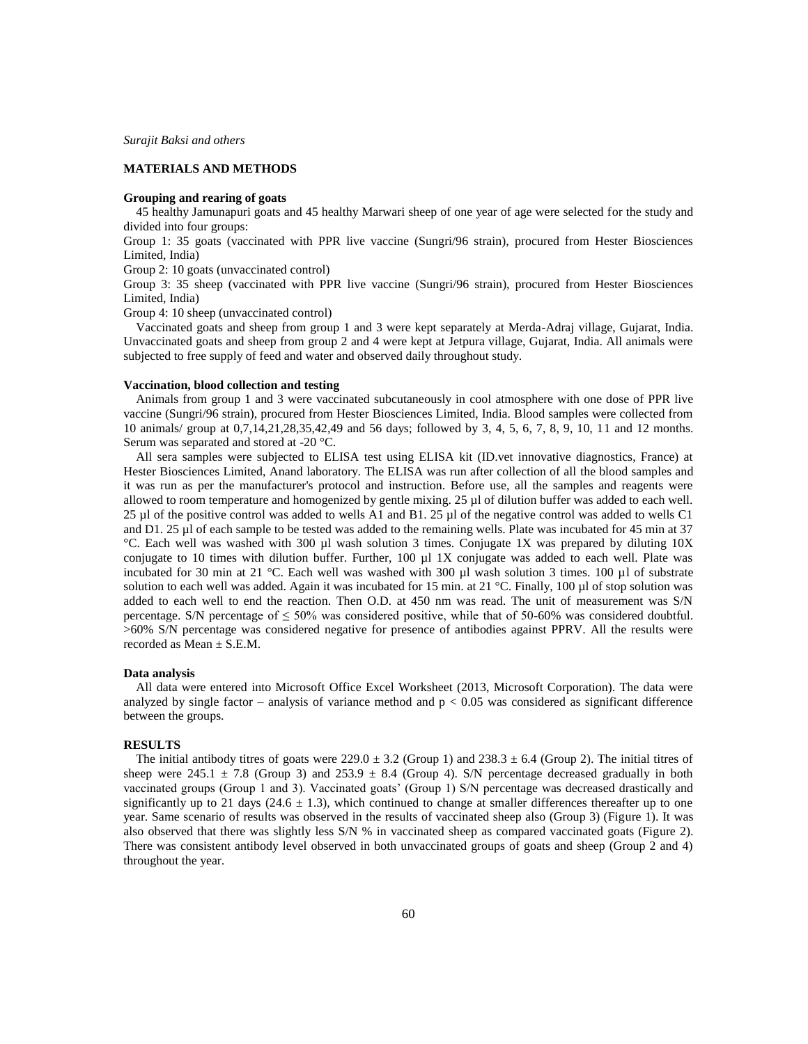*Surajit Baksi and others*

## **MATERIALS AND METHODS**

#### **Grouping and rearing of goats**

 45 healthy Jamunapuri goats and 45 healthy Marwari sheep of one year of age were selected for the study and divided into four groups:

Group 1: 35 goats (vaccinated with PPR live vaccine (Sungri/96 strain), procured from Hester Biosciences Limited, India)

Group 2: 10 goats (unvaccinated control)

Group 3: 35 sheep (vaccinated with PPR live vaccine (Sungri/96 strain), procured from Hester Biosciences Limited, India)

Group 4: 10 sheep (unvaccinated control)

 Vaccinated goats and sheep from group 1 and 3 were kept separately at Merda-Adraj village, Gujarat, India. Unvaccinated goats and sheep from group 2 and 4 were kept at Jetpura village, Gujarat, India. All animals were subjected to free supply of feed and water and observed daily throughout study.

#### **Vaccination, blood collection and testing**

 Animals from group 1 and 3 were vaccinated subcutaneously in cool atmosphere with one dose of PPR live vaccine (Sungri/96 strain), procured from Hester Biosciences Limited, India. Blood samples were collected from 10 animals/ group at 0,7,14,21,28,35,42,49 and 56 days; followed by 3, 4, 5, 6, 7, 8, 9, 10, 11 and 12 months. Serum was separated and stored at -20 °C.

 All sera samples were subjected to ELISA test using ELISA kit (ID.vet innovative diagnostics, France) at Hester Biosciences Limited, Anand laboratory. The ELISA was run after collection of all the blood samples and it was run as per the manufacturer's protocol and instruction. Before use, all the samples and reagents were allowed to room temperature and homogenized by gentle mixing. 25 µl of dilution buffer was added to each well. 25 µl of the positive control was added to wells A1 and B1. 25 µl of the negative control was added to wells C1 and D1. 25 µl of each sample to be tested was added to the remaining wells. Plate was incubated for 45 min at 37 °C. Each well was washed with 300 µl wash solution 3 times. Conjugate 1X was prepared by diluting 10X conjugate to 10 times with dilution buffer. Further, 100 µl 1X conjugate was added to each well. Plate was incubated for 30 min at 21 °C. Each well was washed with 300 µl wash solution 3 times. 100 µl of substrate solution to each well was added. Again it was incubated for 15 min. at 21 °C. Finally, 100 µl of stop solution was added to each well to end the reaction. Then O.D. at 450 nm was read. The unit of measurement was S/N percentage. S/N percentage of  $\leq 50\%$  was considered positive, while that of 50-60% was considered doubtful. >60% S/N percentage was considered negative for presence of antibodies against PPRV. All the results were recorded as Mean  $\pm$  S.E.M.

#### **Data analysis**

 All data were entered into Microsoft Office Excel Worksheet (2013, Microsoft Corporation). The data were analyzed by single factor – analysis of variance method and  $p < 0.05$  was considered as significant difference between the groups.

#### **RESULTS**

The initial antibody titres of goats were  $229.0 \pm 3.2$  (Group 1) and  $238.3 \pm 6.4$  (Group 2). The initial titres of sheep were 245.1  $\pm$  7.8 (Group 3) and 253.9  $\pm$  8.4 (Group 4). S/N percentage decreased gradually in both vaccinated groups (Group 1 and 3). Vaccinated goats' (Group 1) S/N percentage was decreased drastically and significantly up to 21 days (24.6  $\pm$  1.3), which continued to change at smaller differences thereafter up to one year. Same scenario of results was observed in the results of vaccinated sheep also (Group 3) (Figure 1). It was also observed that there was slightly less S/N % in vaccinated sheep as compared vaccinated goats (Figure 2). There was consistent antibody level observed in both unvaccinated groups of goats and sheep (Group 2 and 4) throughout the year.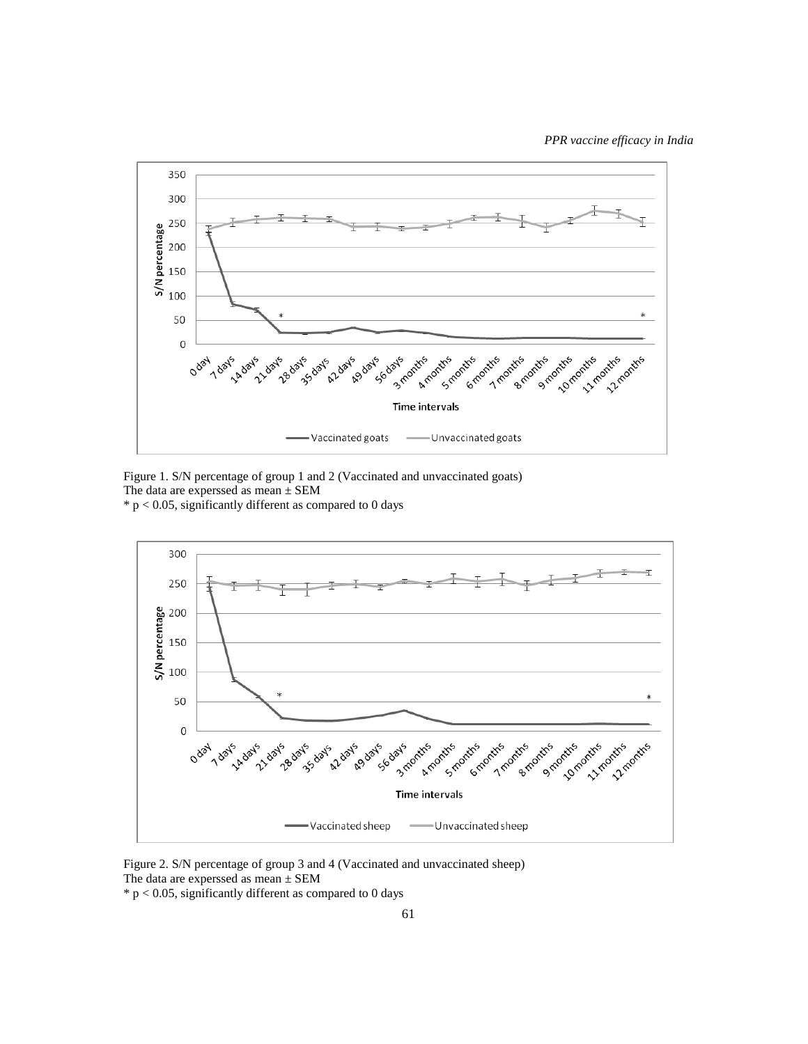

Figure 1. S/N percentage of group 1 and 2 (Vaccinated and unvaccinated goats) The data are experssed as mean  $\pm$  SEM

 $*$  p < 0.05, significantly different as compared to 0 days



Figure 2. S/N percentage of group 3 and 4 (Vaccinated and unvaccinated sheep) The data are experssed as mean ± SEM

 $*$  p < 0.05, significantly different as compared to 0 days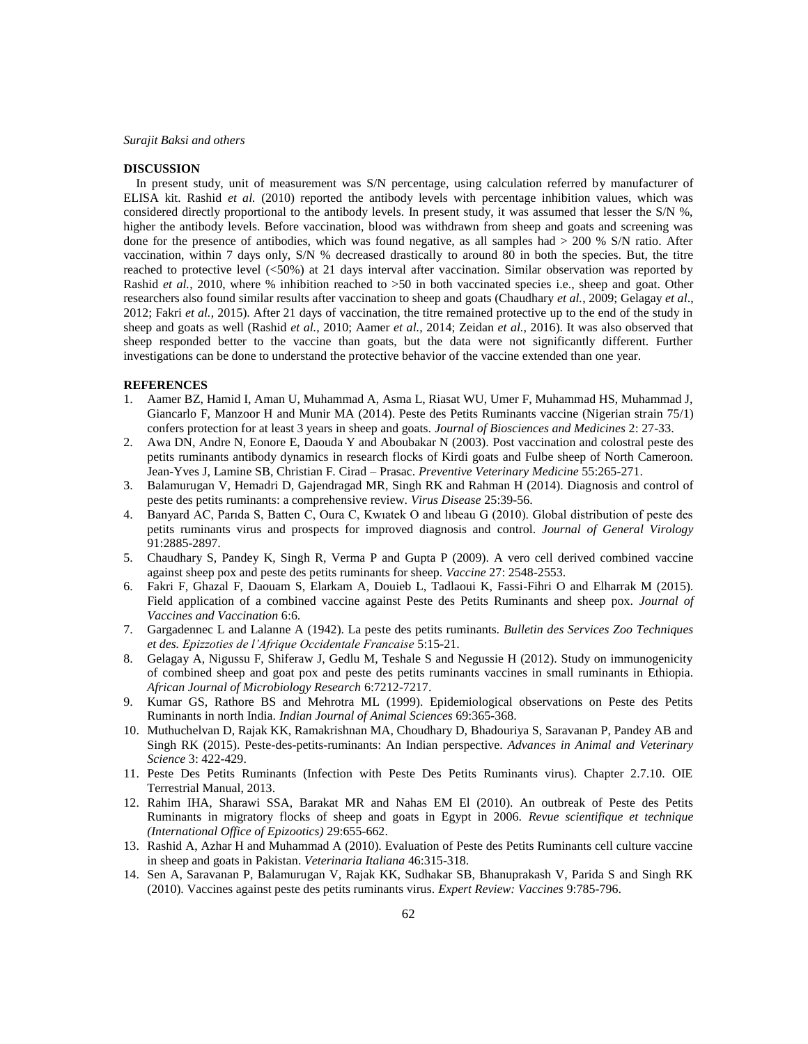#### *Surajit Baksi and others*

#### **DISCUSSION**

 In present study, unit of measurement was S/N percentage, using calculation referred by manufacturer of ELISA kit. Rashid *et al.* (2010) reported the antibody levels with percentage inhibition values, which was considered directly proportional to the antibody levels. In present study, it was assumed that lesser the S/N %, higher the antibody levels. Before vaccination, blood was withdrawn from sheep and goats and screening was done for the presence of antibodies, which was found negative, as all samples had  $> 200\%$  S/N ratio. After vaccination, within 7 days only, S/N % decreased drastically to around 80 in both the species. But, the titre reached to protective level (<50%) at 21 days interval after vaccination. Similar observation was reported by Rashid *et al.*, 2010, where % inhibition reached to >50 in both vaccinated species i.e., sheep and goat. Other researchers also found similar results after vaccination to sheep and goats (Chaudhary *et al.*, 2009; Gelagay *et al*., 2012; Fakri *et al.*, 2015). After 21 days of vaccination, the titre remained protective up to the end of the study in sheep and goats as well (Rashid *et al.*, 2010; Aamer *et al.*, 2014; Zeidan *et al.*, 2016). It was also observed that sheep responded better to the vaccine than goats, but the data were not significantly different. Further investigations can be done to understand the protective behavior of the vaccine extended than one year.

### **REFERENCES**

- 1. Aamer BZ, Hamid I, Aman U, Muhammad A, Asma L, Riasat WU, Umer F, Muhammad HS, Muhammad J, Giancarlo F, Manzoor H and Munir MA (2014). Peste des Petits Ruminants vaccine (Nigerian strain 75/1) confers protection for at least 3 years in sheep and goats. *Journal of Biosciences and Medicines* 2: 27-33.
- 2. Awa DN, Andre N, Eonore E, Daouda Y and Aboubakar N (2003). Post vaccination and colostral peste des petits ruminants antibody dynamics in research flocks of Kirdi goats and Fulbe sheep of North Cameroon. Jean-Yves J, Lamine SB, Christian F. Cirad – Prasac. *Preventive Veterinary Medicine* 55:265-271.
- 3. Balamurugan V, Hemadri D, Gajendragad MR, Singh RK and Rahman H (2014). Diagnosis and control of peste des petits ruminants: a comprehensive review. *Virus Disease* 25:39-56.
- 4. Banyard AC, Parıda S, Batten C, Oura C, Kwıatek O and lıbeau G (2010). Global distribution of peste des petits ruminants virus and prospects for improved diagnosis and control. *Journal of General Virology* 91:2885-2897.
- 5. Chaudhary S, Pandey K, Singh R, Verma P and Gupta P (2009). A vero cell derived combined vaccine against sheep pox and peste des petits ruminants for sheep. *Vaccine* 27: 2548-2553.
- 6. Fakri F, Ghazal F, Daouam S, Elarkam A, Douieb L, Tadlaoui K, Fassi-Fihri O and Elharrak M (2015). Field application of a combined vaccine against Peste des Petits Ruminants and sheep pox. *Journal of Vaccines and Vaccination* 6:6.
- 7. Gargadennec L and Lalanne A (1942). La peste des petits ruminants*. Bulletin des Services Zoo Techniques et des. Epizzoties de l'Afrique Occidentale Francaise* 5:15-21.
- 8. Gelagay A, Nigussu F, Shiferaw J, Gedlu M, Teshale S and Negussie H (2012). Study on immunogenicity of combined sheep and goat pox and peste des petits ruminants vaccines in small ruminants in Ethiopia. *African Journal of Microbiology Research* 6:7212-7217.
- 9. Kumar GS, Rathore BS and Mehrotra ML (1999). Epidemiological observations on Peste des Petits Ruminants in north India. *Indian Journal of Animal Sciences* 69:365-368.
- 10. Muthuchelvan D, Rajak KK, Ramakrishnan MA, Choudhary D, Bhadouriya S, Saravanan P, Pandey AB and Singh RK (2015). Peste-des-petits-ruminants: An Indian perspective. *Advances in Animal and Veterinary Science* 3: 422-429.
- 11. Peste Des Petits Ruminants (Infection with Peste Des Petits Ruminants virus). Chapter 2.7.10. OIE Terrestrial Manual, 2013.
- 12. Rahim IHA, Sharawi SSA, Barakat MR and Nahas EM El (2010). An outbreak of Peste des Petits Ruminants in migratory flocks of sheep and goats in Egypt in 2006. *Revue scientifique et technique (International Office of Epizootics)* 29:655-662.
- 13. Rashid A, Azhar H and Muhammad A (2010). Evaluation of Peste des Petits Ruminants cell culture vaccine in sheep and goats in Pakistan. *Veterinaria Italiana* 46:315-318.
- 14. Sen A, Saravanan P, Balamurugan V, Rajak KK, Sudhakar SB, Bhanuprakash V, Parida S and Singh RK (2010). Vaccines against peste des petits ruminants virus. *Expert Review: Vaccines* 9:785-796.